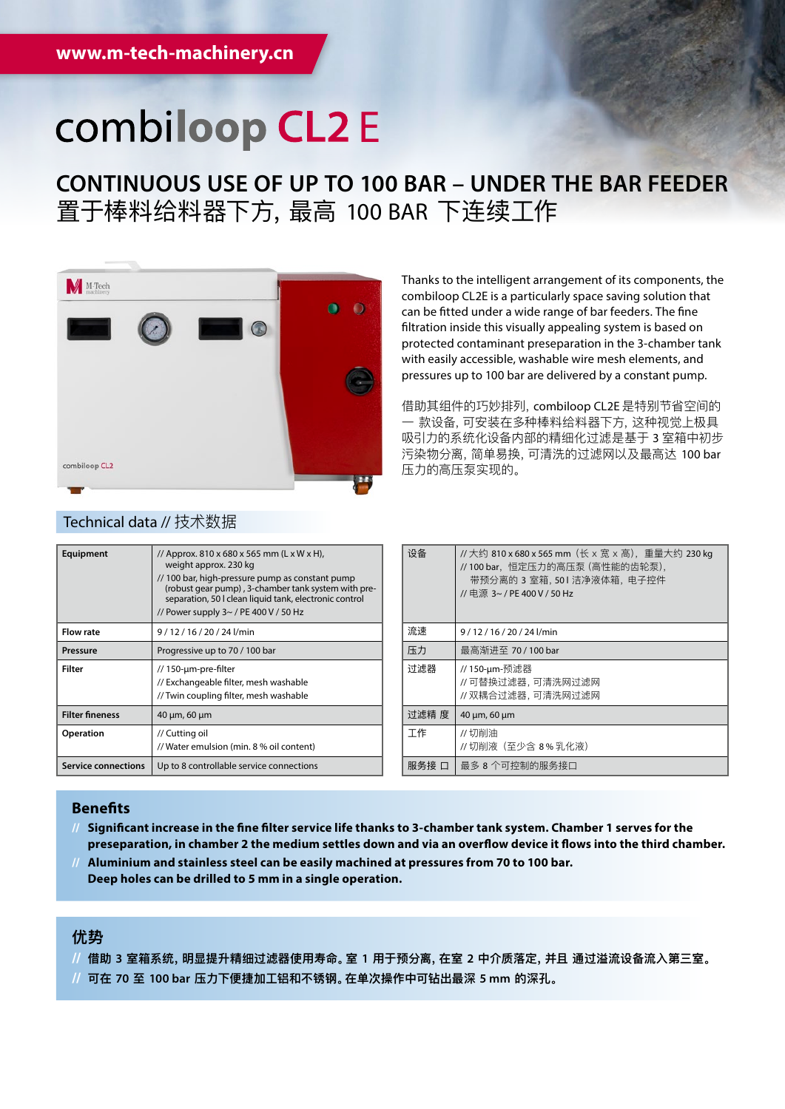# combiloop CL2 E

**CONTINUOUS USE OF UP TO 100 BAR – UNDER THE BAR FEEDER** 置于棒料给料器下方,最高 100 BAR 下连续工作



## can be fitted under a wide range of bar feeders. The fine filtration inside this visually appealing system is based on protected contaminant preseparation in the 3-chamber tank with easily accessible, washable wire mesh elements, and pressures up to 100 bar are delivered by a constant pump. 借助其组件的巧妙排列,combiloop CL2E 是特别节省空间的

Thanks to the intelligent arrangement of its components, the combiloop CL2E is a particularly space saving solution that

一 款设备,可安装在多种棒料给料器下方,这种视觉上极具 吸引力的系统化设备内部的精细化过滤是基于 3 室箱中初步 污染物分离,简单易换,可清洗的过滤网以及最高达 100 bar 压力的高压泵实现的。

| Equipment                  | // Approx. 810 x 680 x 565 mm (L x W x H),<br>weight approx. 230 kg<br>// 100 bar, high-pressure pump as constant pump<br>(robust gear pump), 3-chamber tank system with pre-<br>separation, 50 I clean liquid tank, electronic control<br>// Power supply 3~ / PE 400 V / 50 Hz |
|----------------------------|----------------------------------------------------------------------------------------------------------------------------------------------------------------------------------------------------------------------------------------------------------------------------------|
| <b>Flow rate</b>           | 9/12/16/20/24l/min                                                                                                                                                                                                                                                               |
| Pressure                   | Progressive up to 70 / 100 bar                                                                                                                                                                                                                                                   |
| Filter                     | // 150-µm-pre-filter<br>// Exchangeable filter, mesh washable<br>// Twin coupling filter, mesh washable                                                                                                                                                                          |
| <b>Filter fineness</b>     | 40 µm, 60 µm                                                                                                                                                                                                                                                                     |
| <b>Operation</b>           | // Cutting oil<br>// Water emulsion (min. 8 % oil content)                                                                                                                                                                                                                       |
| <b>Service connections</b> | Up to 8 controllable service connections                                                                                                                                                                                                                                         |

| 设备    | //大约 810 x 680 x 565 mm (长 x 宽 x 高), 重量大约 230 kg<br>//100 bar,恒定压力的高压泵 (高性能的齿轮泵),<br>带预分离的 3 室箱,501 洁净液体箱, 电子控件<br>// 申源 3~ / PE 400 V / 50 Hz |
|-------|------------------------------------------------------------------------------------------------------------------------------------------------|
| 流速    | 9/12/16/20/24l/min                                                                                                                             |
| 压力    | 最高渐进至 70 / 100 bar                                                                                                                             |
| 讨滤器   | // 150-µm-预滤器<br>//可替换过滤器,可清洗网过滤网<br>//双耦合过滤器,可清洗网过滤网                                                                                          |
| 讨滤精 度 | 40 µm, 60 µm                                                                                                                                   |
| 工作    | //切削油<br>// 切削液(至少含 8%乳化液)                                                                                                                     |
| 服务接 口 | 最多 8 个可控制的服务接口                                                                                                                                 |

### **Benefits**

- **// Significant increase in the fine filter service life thanks to 3-chamber tank system. Chamber 1 serves for the preseparation, in chamber 2 the medium settles down and via an overflow device it flows into the third chamber.**
- **// Aluminium and stainless steel can be easily machined at pressures from 70 to 100 bar. Deep holes can be drilled to 5 mm in a single operation.**

# **优势**

- **// 借助 3 室箱系统,明显提升精细过滤器使用寿命。室 1 用于预分离,在室 2 中介质落定,并且 通过溢流设备流入第三室。**
- **// 可在 70 至 100 bar 压力下便捷加工铝和不锈钢。在单次操作中可钻出最深 5 mm 的深孔。**

#### Technical data // 技术数据